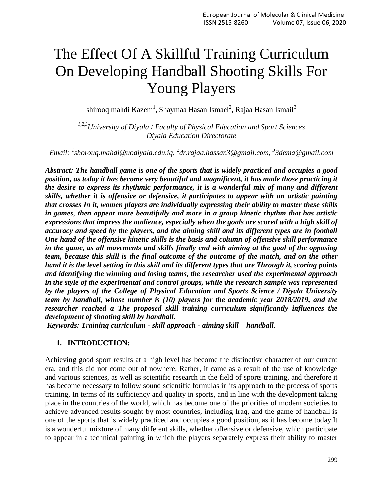# The Effect Of A Skillful Training Curriculum On Developing Handball Shooting Skills For Young Players

shirooq mahdi Kazem $^1$ , Shaymaa Hasan Ismael $^2$ , Rajaa Hasan Ismail $^3$ 

*1,2,3University of Diyala* / *Faculty of Physical Education and Sport Sciences Diyala Education Directorate*

*Email: <sup>1</sup> [shorouq.mahdi@uodiyala.edu.iq,](mailto:shorouq.mahdi@uodiyala.edu.iq) 2 [dr.rajaa.hassan3@gmail.com,](mailto:dr.rajaa.hassan3@gmail.com) 3 [3dema@gmail.com](mailto:3dema@gmail.com)*

*Abstract: The handball game is one of the sports that is widely practiced and occupies a good position, as today it has become very beautiful and magnificent, it has made those practicing it the desire to express its rhythmic performance, it is a wonderful mix of many and different skills, whether it is offensive or defensive, it participates to appear with an artistic painting that crosses In it, women players are individually expressing their ability to master these skills in games, then appear more beautifully and more in a group kinetic rhythm that has artistic expressions that impress the audience, especially when the goals are scored with a high skill of accuracy and speed by the players, and the aiming skill and its different types are in football One hand of the offensive kinetic skills is the basis and column of offensive skill performance in the game, as all movements and skills finally end with aiming at the goal of the opposing team, because this skill is the final outcome of the outcome of the match, and on the other hand it is the level setting in this skill and its different types that are Through it, scoring points and identifying the winning and losing teams, the researcher used the experimental approach in the style of the experimental and control groups, while the research sample was represented by the players of the College of Physical Education and Sports Science / Diyala University team by handball, whose number is (10) players for the academic year 2018/2019, and the researcher reached a The proposed skill training curriculum significantly influences the development of shooting skill by handball.* 

*Keywords: Training curriculum - skill approach - aiming skill – handball*.

#### **1. INTRODUCTION:**

Achieving good sport results at a high level has become the distinctive character of our current era, and this did not come out of nowhere. Rather, it came as a result of the use of knowledge and various sciences, as well as scientific research in the field of sports training, and therefore it has become necessary to follow sound scientific formulas in its approach to the process of sports training, In terms of its sufficiency and quality in sports, and in line with the development taking place in the countries of the world, which has become one of the priorities of modern societies to achieve advanced results sought by most countries, including Iraq, and the game of handball is one of the sports that is widely practiced and occupies a good position, as it has become today It is a wonderful mixture of many different skills, whether offensive or defensive, which participate to appear in a technical painting in which the players separately express their ability to master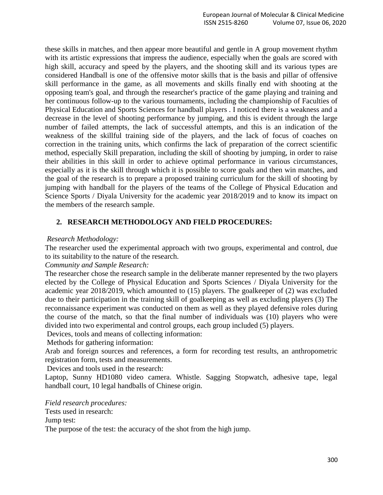these skills in matches, and then appear more beautiful and gentle in A group movement rhythm with its artistic expressions that impress the audience, especially when the goals are scored with high skill, accuracy and speed by the players, and the shooting skill and its various types are considered Handball is one of the offensive motor skills that is the basis and pillar of offensive skill performance in the game, as all movements and skills finally end with shooting at the opposing team's goal, and through the researcher's practice of the game playing and training and her continuous follow-up to the various tournaments, including the championship of Faculties of Physical Education and Sports Sciences for handball players . I noticed there is a weakness and a decrease in the level of shooting performance by jumping, and this is evident through the large number of failed attempts, the lack of successful attempts, and this is an indication of the weakness of the skillful training side of the players, and the lack of focus of coaches on correction in the training units, which confirms the lack of preparation of the correct scientific method, especially Skill preparation, including the skill of shooting by jumping, in order to raise their abilities in this skill in order to achieve optimal performance in various circumstances, especially as it is the skill through which it is possible to score goals and then win matches, and the goal of the research is to prepare a proposed training curriculum for the skill of shooting by jumping with handball for the players of the teams of the College of Physical Education and Science Sports / Diyala University for the academic year 2018/2019 and to know its impact on the members of the research sample.

# **2. RESEARCH METHODOLOGY AND FIELD PROCEDURES:**

# *Research Methodology:*

The researcher used the experimental approach with two groups, experimental and control, due to its suitability to the nature of the research.

#### *Community and Sample Research:*

The researcher chose the research sample in the deliberate manner represented by the two players elected by the College of Physical Education and Sports Sciences / Diyala University for the academic year 2018/2019, which amounted to (15) players. The goalkeeper of (2) was excluded due to their participation in the training skill of goalkeeping as well as excluding players (3) The reconnaissance experiment was conducted on them as well as they played defensive roles during the course of the match, so that the final number of individuals was (10) players who were divided into two experimental and control groups, each group included (5) players.

Devices, tools and means of collecting information:

Methods for gathering information:

Arab and foreign sources and references, a form for recording test results, an anthropometric registration form, tests and measurements.

Devices and tools used in the research:

Laptop, Sunny HD1080 video camera. Whistle. Sagging Stopwatch, adhesive tape, legal handball court, 10 legal handballs of Chinese origin.

*Field research procedures:* Tests used in research:

Jump test:

The purpose of the test: the accuracy of the shot from the high jump.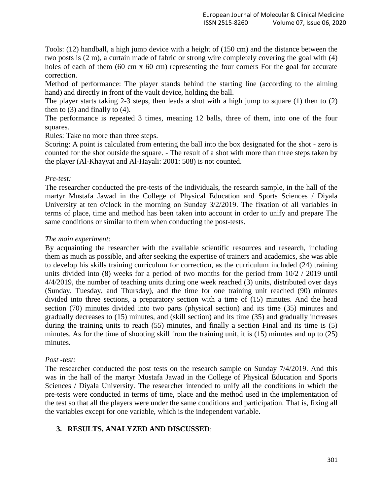Tools: (12) handball, a high jump device with a height of (150 cm) and the distance between the two posts is (2 m), a curtain made of fabric or strong wire completely covering the goal with (4) holes of each of them (60 cm x 60 cm) representing the four corners For the goal for accurate correction.

Method of performance: The player stands behind the starting line (according to the aiming hand) and directly in front of the vault device, holding the ball.

The player starts taking 2-3 steps, then leads a shot with a high jump to square (1) then to (2) then to  $(3)$  and finally to  $(4)$ .

The performance is repeated 3 times, meaning 12 balls, three of them, into one of the four squares.

Rules: Take no more than three steps.

Scoring: A point is calculated from entering the ball into the box designated for the shot - zero is counted for the shot outside the square. - The result of a shot with more than three steps taken by the player (Al-Khayyat and Al-Hayali: 2001: 508) is not counted.

# *Pre-test:*

The researcher conducted the pre-tests of the individuals, the research sample, in the hall of the martyr Mustafa Jawad in the College of Physical Education and Sports Sciences / Diyala University at ten o'clock in the morning on Sunday 3/2/2019. The fixation of all variables in terms of place, time and method has been taken into account in order to unify and prepare The same conditions or similar to them when conducting the post-tests.

# *The main experiment:*

By acquainting the researcher with the available scientific resources and research, including them as much as possible, and after seeking the expertise of trainers and academics, she was able to develop his skills training curriculum for correction, as the curriculum included (24) training units divided into (8) weeks for a period of two months for the period from 10/2 / 2019 until 4/4/2019, the number of teaching units during one week reached (3) units, distributed over days (Sunday, Tuesday, and Thursday), and the time for one training unit reached (90) minutes divided into three sections, a preparatory section with a time of (15) minutes. And the head section (70) minutes divided into two parts (physical section) and its time (35) minutes and gradually decreases to (15) minutes, and (skill section) and its time (35) and gradually increases during the training units to reach (55) minutes, and finally a section Final and its time is (5) minutes. As for the time of shooting skill from the training unit, it is (15) minutes and up to (25) minutes.

#### *Post* -*test:*

The researcher conducted the post tests on the research sample on Sunday 7/4/2019. And this was in the hall of the martyr Mustafa Jawad in the College of Physical Education and Sports Sciences / Diyala University. The researcher intended to unify all the conditions in which the pre-tests were conducted in terms of time, place and the method used in the implementation of the test so that all the players were under the same conditions and participation. That is, fixing all the variables except for one variable, which is the independent variable.

# **3. RESULTS, ANALYZED AND DISCUSSED**;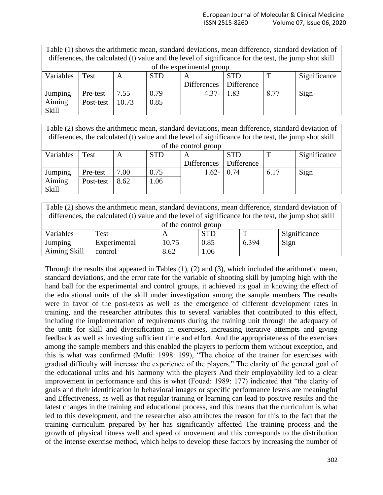| Table (1) shows the arithmetic mean, standard deviations, mean difference, standard deviation of      |           |       |            |              |            |      |              |
|-------------------------------------------------------------------------------------------------------|-----------|-------|------------|--------------|------------|------|--------------|
| differences, the calculated (t) value and the level of significance for the test, the jump shot skill |           |       |            |              |            |      |              |
| of the experimental group.                                                                            |           |       |            |              |            |      |              |
| Variables                                                                                             | Test      | A     | <b>STD</b> | $\mathsf{A}$ | <b>STD</b> |      | Significance |
|                                                                                                       |           |       |            | Differences  | Difference |      |              |
| Jumping                                                                                               | Pre-test  | 7.55  | 0.79       | $4.37 -$     | 1.83       | 8.77 | Sign         |
| Aiming                                                                                                | Post-test | 10.73 | 0.85       |              |            |      |              |
| Skill                                                                                                 |           |       |            |              |            |      |              |

| Table (2) shows the arithmetic mean, standard deviations, mean difference, standard deviation of<br>differences, the calculated (t) value and the level of significance for the test, the jump shot skill |           |      |            |                    |            |             |              |
|-----------------------------------------------------------------------------------------------------------------------------------------------------------------------------------------------------------|-----------|------|------------|--------------------|------------|-------------|--------------|
| of the control group                                                                                                                                                                                      |           |      |            |                    |            |             |              |
| Variables                                                                                                                                                                                                 | Test      | A    | <b>STD</b> | A                  | <b>STD</b> | $\mathbf T$ | Significance |
|                                                                                                                                                                                                           |           |      |            | <b>Differences</b> | Difference |             |              |
| Jumping                                                                                                                                                                                                   | Pre-test  | 7.00 | 0.75       | $1.62 - 0.74$      |            | 6.17        | Sign         |
| Aiming                                                                                                                                                                                                    | Post-test | 8.62 | 1.06       |                    |            |             |              |
| Skill                                                                                                                                                                                                     |           |      |            |                    |            |             |              |

| Table (2) shows the arithmetic mean, standard deviations, mean difference, standard deviation of      |              |       |            |             |              |  |  |
|-------------------------------------------------------------------------------------------------------|--------------|-------|------------|-------------|--------------|--|--|
| differences, the calculated (t) value and the level of significance for the test, the jump shot skill |              |       |            |             |              |  |  |
| of the control group                                                                                  |              |       |            |             |              |  |  |
| Variables                                                                                             | Test         |       | <b>STD</b> | $\mathbf T$ | Significance |  |  |
| Jumping                                                                                               | Experimental | 10.75 | 0.85       | 6.394       | Sign         |  |  |
| Aiming Skill                                                                                          | control      | 8.62  | 1.06       |             |              |  |  |

Through the results that appeared in Tables (1), (2) and (3), which included the arithmetic mean, standard deviations, and the error rate for the variable of shooting skill by jumping high with the hand ball for the experimental and control groups, it achieved its goal in knowing the effect of the educational units of the skill under investigation among the sample members The results were in favor of the post-tests as well as the emergence of different development rates in training, and the researcher attributes this to several variables that contributed to this effect, including the implementation of requirements during the training unit through the adequacy of the units for skill and diversification in exercises, increasing iterative attempts and giving feedback as well as investing sufficient time and effort. And the appropriateness of the exercises among the sample members and this enabled the players to perform them without exception, and this is what was confirmed (Mufti: 1998: 199), "The choice of the trainer for exercises with gradual difficulty will increase the experience of the players." The clarity of the general goal of the educational units and his harmony with the players And their employability led to a clear improvement in performance and this is what (Fouad: 1989: 177) indicated that "the clarity of goals and their identification in behavioral images or specific performance levels are meaningful and Effectiveness, as well as that regular training or learning can lead to positive results and the latest changes in the training and educational process, and this means that the curriculum is what led to this development, and the researcher also attributes the reason for this to the fact that the training curriculum prepared by her has significantly affected The training process and the growth of physical fitness well and speed of movement and this corresponds to the distribution of the intense exercise method, which helps to develop these factors by increasing the number of